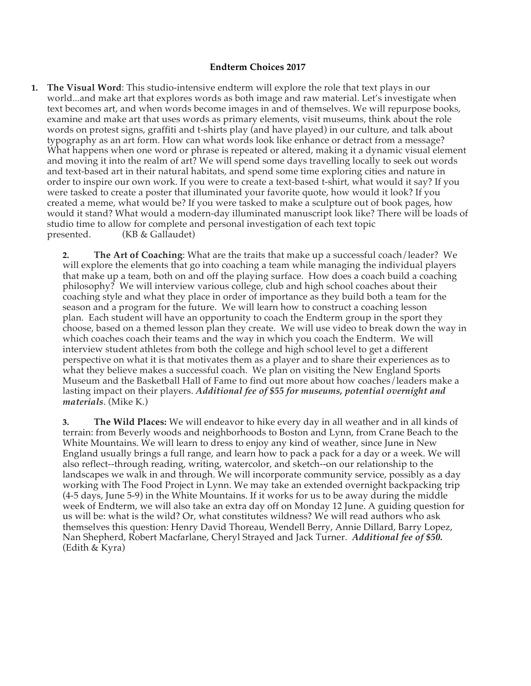## **Endterm Choices 2017**

**1. The Visual Word**: This studio-intensive endterm will explore the role that text plays in our world...and make art that explores words as both image and raw material. Let's investigate when text becomes art, and when words become images in and of themselves. We will repurpose books, examine and make art that uses words as primary elements, visit museums, think about the role words on protest signs, graffiti and t-shirts play (and have played) in our culture, and talk about typography as an art form. How can what words look like enhance or detract from a message? What happens when one word or phrase is repeated or altered, making it a dynamic visual element and moving it into the realm of art? We will spend some days travelling locally to seek out words and text-based art in their natural habitats, and spend some time exploring cities and nature in order to inspire our own work. If you were to create a text-based t-shirt, what would it say? If you were tasked to create a poster that illuminated your favorite quote, how would it look? If you created a meme, what would be? If you were tasked to make a sculpture out of book pages, how would it stand? What would a modern-day illuminated manuscript look like? There will be loads of studio time to allow for complete and personal investigation of each text topic presented. (KB & Gallaudet)  $(KB & Gallaudet)$ 

**2. The Art of Coaching**: What are the traits that make up a successful coach/leader? We will explore the elements that go into coaching a team while managing the individual players that make up a team, both on and off the playing surface. How does a coach build a coaching philosophy? We will interview various college, club and high school coaches about their coaching style and what they place in order of importance as they build both a team for the season and a program for the future. We will learn how to construct a coaching lesson plan. Each student will have an opportunity to coach the Endterm group in the sport they choose, based on a themed lesson plan they create. We will use video to break down the way in which coaches coach their teams and the way in which you coach the Endterm. We will interview student athletes from both the college and high school level to get a different perspective on what it is that motivates them as a player and to share their experiences as to what they believe makes a successful coach. We plan on visiting the New England Sports Museum and the Basketball Hall of Fame to find out more about how coaches/leaders make a lasting impact on their players. *Additional fee of \$55 for museums, potential overnight and materials*. (Mike K.)

**3. The Wild Places:** We will endeavor to hike every day in all weather and in all kinds of terrain: from Beverly woods and neighborhoods to Boston and Lynn, from Crane Beach to the White Mountains. We will learn to dress to enjoy any kind of weather, since June in New England usually brings a full range, and learn how to pack a pack for a day or a week. We will also reflect--through reading, writing, watercolor, and sketch--on our relationship to the landscapes we walk in and through. We will incorporate community service, possibly as a day working with The Food Project in Lynn. We may take an extended overnight backpacking trip (4-5 days, June 5-9) in the White Mountains. If it works for us to be away during the middle week of Endterm, we will also take an extra day off on Monday 12 June. A guiding question for us will be: what is the wild? Or, what constitutes wildness? We will read authors who ask themselves this question: Henry David Thoreau, Wendell Berry, Annie Dillard, Barry Lopez, Nan Shepherd, Robert Macfarlane, Cheryl Strayed and Jack Turner. *Additional fee of \$50.* (Edith & Kyra)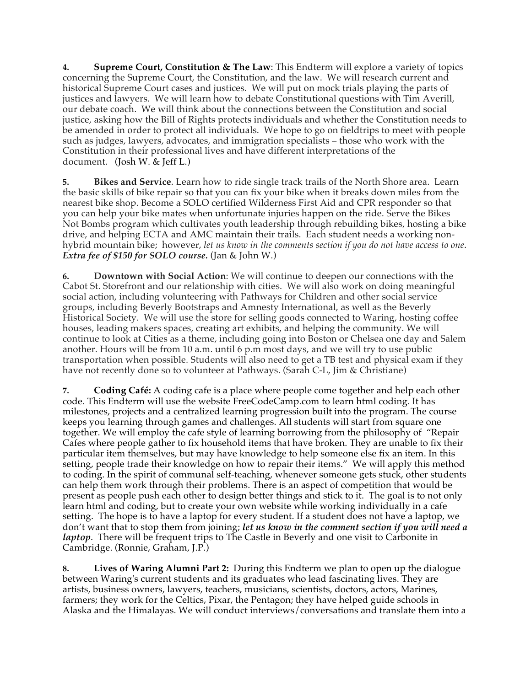**4. Supreme Court, Constitution & The Law**: This Endterm will explore a variety of topics concerning the Supreme Court, the Constitution, and the law. We will research current and historical Supreme Court cases and justices. We will put on mock trials playing the parts of justices and lawyers. We will learn how to debate Constitutional questions with Tim Averill, our debate coach. We will think about the connections between the Constitution and social justice, asking how the Bill of Rights protects individuals and whether the Constitution needs to be amended in order to protect all individuals. We hope to go on fieldtrips to meet with people such as judges, lawyers, advocates, and immigration specialists – those who work with the Constitution in their professional lives and have different interpretations of the document. (Josh W. & Jeff L.)

**5. Bikes and Service**. Learn how to ride single track trails of the North Shore area. Learn the basic skills of bike repair so that you can fix your bike when it breaks down miles from the nearest bike shop. Become a SOLO certified Wilderness First Aid and CPR responder so that you can help your bike mates when unfortunate injuries happen on the ride. Serve the Bikes Not Bombs program which cultivates youth leadership through rebuilding bikes, hosting a bike drive, and helping ECTA and AMC maintain their trails. Each student needs a working nonhybrid mountain bike; however, *let us know in the comments section if you do not have access to one*. *Extra fee of \$150 for SOLO course.* (Jan & John W.)

**6. Downtown with Social Action**: We will continue to deepen our connections with the Cabot St. Storefront and our relationship with cities. We will also work on doing meaningful social action, including volunteering with Pathways for Children and other social service groups, including Beverly Bootstraps and Amnesty International, as well as the Beverly Historical Society. We will use the store for selling goods connected to Waring, hosting coffee houses, leading makers spaces, creating art exhibits, and helping the community. We will continue to look at Cities as a theme, including going into Boston or Chelsea one day and Salem another. Hours will be from 10 a.m. until 6 p.m most days, and we will try to use public transportation when possible. Students will also need to get a TB test and physical exam if they have not recently done so to volunteer at Pathways. (Sarah C-L, Jim & Christiane)

**7. Coding Café:** A coding cafe is a place where people come together and help each other code. This Endterm will use the website FreeCodeCamp.com to learn html coding. It has milestones, projects and a centralized learning progression built into the program. The course keeps you learning through games and challenges. All students will start from square one together. We will employ the cafe style of learning borrowing from the philosophy of "Repair Cafes where people gather to fix household items that have broken. They are unable to fix their particular item themselves, but may have knowledge to help someone else fix an item. In this setting, people trade their knowledge on how to repair their items." We will apply this method to coding. In the spirit of communal self-teaching, whenever someone gets stuck, other students can help them work through their problems. There is an aspect of competition that would be present as people push each other to design better things and stick to it. The goal is to not only learn html and coding, but to create your own website while working individually in a cafe setting. The hope is to have a laptop for every student. If a student does not have a laptop, we don't want that to stop them from joining; *let us know in the comment section if you will need a laptop*. There will be frequent trips to The Castle in Beverly and one visit to Carbonite in Cambridge. (Ronnie, Graham, J.P.)

**8. Lives of Waring Alumni Part 2:** During this Endterm we plan to open up the dialogue between Waring's current students and its graduates who lead fascinating lives. They are artists, business owners, lawyers, teachers, musicians, scientists, doctors, actors, Marines, farmers; they work for the Celtics, Pixar, the Pentagon; they have helped guide schools in Alaska and the Himalayas. We will conduct interviews/conversations and translate them into a